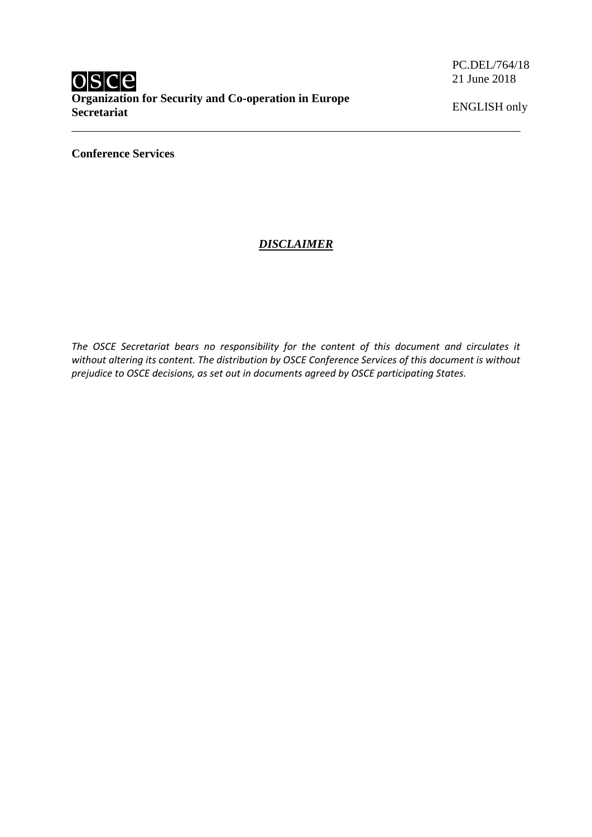PC.DEL/764/18 21 June 2018

ENGLISH only

**Conference Services**

# *DISCLAIMER*

*The OSCE Secretariat bears no responsibility for the content of this document and circulates it without altering its content. The distribution by OSCE Conference Services of this document is without prejudice to OSCE decisions, as set out in documents agreed by OSCE participating States.*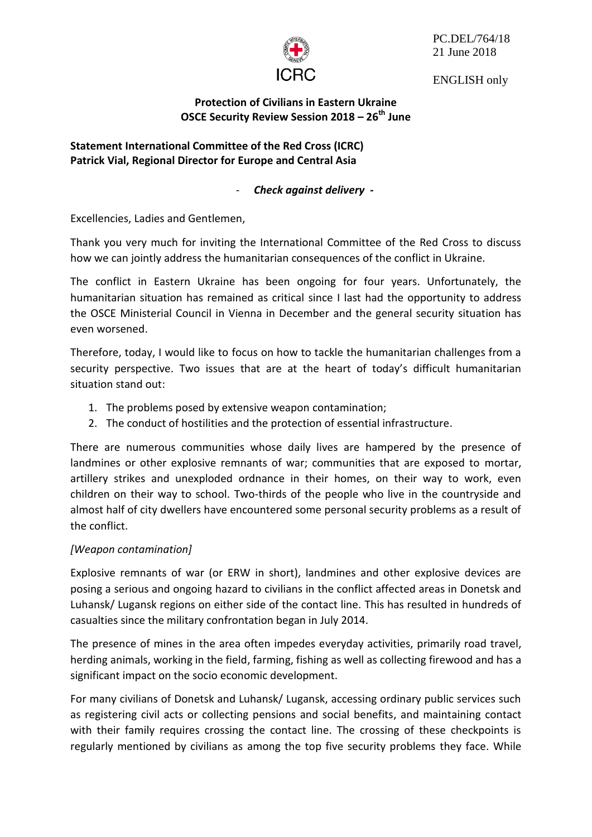

PC.DEL/764/18 21 June 2018

ENGLISH only

**Protection of Civilians in Eastern Ukraine OSCE Security Review Session 2018 – 26th June**

**Statement International Committee of the Red Cross (ICRC) Patrick Vial, Regional Director for Europe and Central Asia**

### - *Check against delivery -*

Excellencies, Ladies and Gentlemen,

Thank you very much for inviting the International Committee of the Red Cross to discuss how we can jointly address the humanitarian consequences of the conflict in Ukraine.

The conflict in Eastern Ukraine has been ongoing for four years. Unfortunately, the humanitarian situation has remained as critical since I last had the opportunity to address the OSCE Ministerial Council in Vienna in December and the general security situation has even worsened.

Therefore, today, I would like to focus on how to tackle the humanitarian challenges from a security perspective. Two issues that are at the heart of today's difficult humanitarian situation stand out:

- 1. The problems posed by extensive weapon contamination;
- 2. The conduct of hostilities and the protection of essential infrastructure.

There are numerous communities whose daily lives are hampered by the presence of landmines or other explosive remnants of war; communities that are exposed to mortar, artillery strikes and unexploded ordnance in their homes, on their way to work, even children on their way to school. Two-thirds of the people who live in the countryside and almost half of city dwellers have encountered some personal security problems as a result of the conflict.

#### *[Weapon contamination]*

Explosive remnants of war (or ERW in short), landmines and other explosive devices are posing a serious and ongoing hazard to civilians in the conflict affected areas in Donetsk and Luhansk/ Lugansk regions on either side of the contact line. This has resulted in hundreds of casualties since the military confrontation began in July 2014.

The presence of mines in the area often impedes everyday activities, primarily road travel, herding animals, working in the field, farming, fishing as well as collecting firewood and has a significant impact on the socio economic development.

For many civilians of Donetsk and Luhansk/ Lugansk, accessing ordinary public services such as registering civil acts or collecting pensions and social benefits, and maintaining contact with their family requires crossing the contact line. The crossing of these checkpoints is regularly mentioned by civilians as among the top five security problems they face. While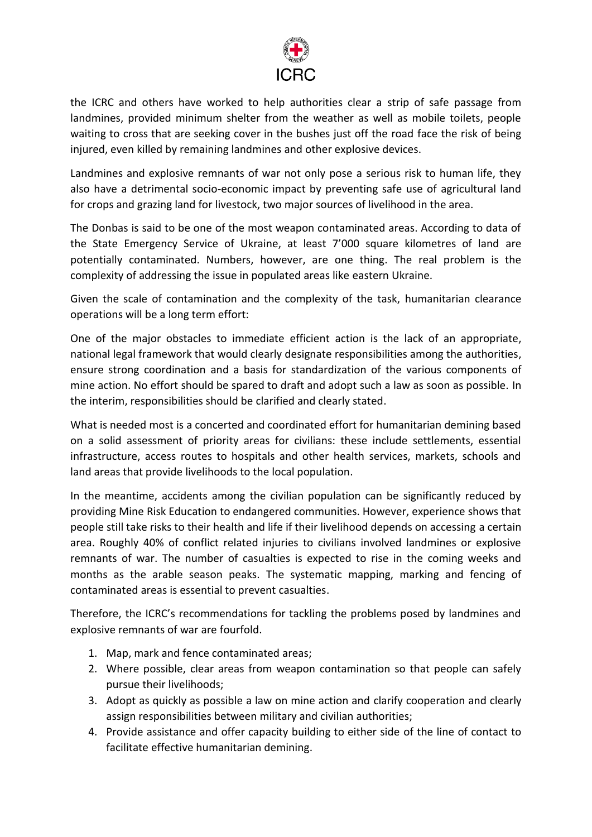

the ICRC and others have worked to help authorities clear a strip of safe passage from landmines, provided minimum shelter from the weather as well as mobile toilets, people waiting to cross that are seeking cover in the bushes just off the road face the risk of being injured, even killed by remaining landmines and other explosive devices.

Landmines and explosive remnants of war not only pose a serious risk to human life, they also have a detrimental socio-economic impact by preventing safe use of agricultural land for crops and grazing land for livestock, two major sources of livelihood in the area.

The Donbas is said to be one of the most weapon contaminated areas. According to data of the State Emergency Service of Ukraine, at least 7'000 square kilometres of land are potentially contaminated. Numbers, however, are one thing. The real problem is the complexity of addressing the issue in populated areas like eastern Ukraine.

Given the scale of contamination and the complexity of the task, humanitarian clearance operations will be a long term effort:

One of the major obstacles to immediate efficient action is the lack of an appropriate, national legal framework that would clearly designate responsibilities among the authorities, ensure strong coordination and a basis for standardization of the various components of mine action. No effort should be spared to draft and adopt such a law as soon as possible. In the interim, responsibilities should be clarified and clearly stated.

What is needed most is a concerted and coordinated effort for humanitarian demining based on a solid assessment of priority areas for civilians: these include settlements, essential infrastructure, access routes to hospitals and other health services, markets, schools and land areas that provide livelihoods to the local population.

In the meantime, accidents among the civilian population can be significantly reduced by providing Mine Risk Education to endangered communities. However, experience shows that people still take risks to their health and life if their livelihood depends on accessing a certain area. Roughly 40% of conflict related injuries to civilians involved landmines or explosive remnants of war. The number of casualties is expected to rise in the coming weeks and months as the arable season peaks. The systematic mapping, marking and fencing of contaminated areas is essential to prevent casualties.

Therefore, the ICRC's recommendations for tackling the problems posed by landmines and explosive remnants of war are fourfold.

- 1. Map, mark and fence contaminated areas;
- 2. Where possible, clear areas from weapon contamination so that people can safely pursue their livelihoods;
- 3. Adopt as quickly as possible a law on mine action and clarify cooperation and clearly assign responsibilities between military and civilian authorities;
- 4. Provide assistance and offer capacity building to either side of the line of contact to facilitate effective humanitarian demining.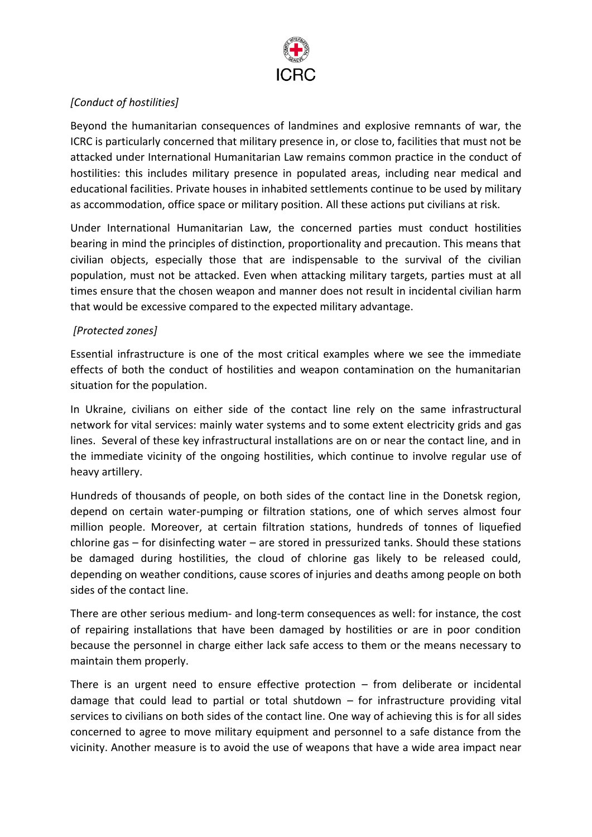

## *[Conduct of hostilities]*

Beyond the humanitarian consequences of landmines and explosive remnants of war, the ICRC is particularly concerned that military presence in, or close to, facilities that must not be attacked under International Humanitarian Law remains common practice in the conduct of hostilities: this includes military presence in populated areas, including near medical and educational facilities. Private houses in inhabited settlements continue to be used by military as accommodation, office space or military position. All these actions put civilians at risk.

Under International Humanitarian Law, the concerned parties must conduct hostilities bearing in mind the principles of distinction, proportionality and precaution. This means that civilian objects, especially those that are indispensable to the survival of the civilian population, must not be attacked. Even when attacking military targets, parties must at all times ensure that the chosen weapon and manner does not result in incidental civilian harm that would be excessive compared to the expected military advantage.

## *[Protected zones]*

Essential infrastructure is one of the most critical examples where we see the immediate effects of both the conduct of hostilities and weapon contamination on the humanitarian situation for the population.

In Ukraine, civilians on either side of the contact line rely on the same infrastructural network for vital services: mainly water systems and to some extent electricity grids and gas lines. Several of these key infrastructural installations are on or near the contact line, and in the immediate vicinity of the ongoing hostilities, which continue to involve regular use of heavy artillery.

Hundreds of thousands of people, on both sides of the contact line in the Donetsk region, depend on certain water-pumping or filtration stations, one of which serves almost four million people. Moreover, at certain filtration stations, hundreds of tonnes of liquefied chlorine gas – for disinfecting water – are stored in pressurized tanks. Should these stations be damaged during hostilities, the cloud of chlorine gas likely to be released could, depending on weather conditions, cause scores of injuries and deaths among people on both sides of the contact line.

There are other serious medium- and long-term consequences as well: for instance, the cost of repairing installations that have been damaged by hostilities or are in poor condition because the personnel in charge either lack safe access to them or the means necessary to maintain them properly.

There is an urgent need to ensure effective protection  $-$  from deliberate or incidental damage that could lead to partial or total shutdown – for infrastructure providing vital services to civilians on both sides of the contact line. One way of achieving this is for all sides concerned to agree to move military equipment and personnel to a safe distance from the vicinity. Another measure is to avoid the use of weapons that have a wide area impact near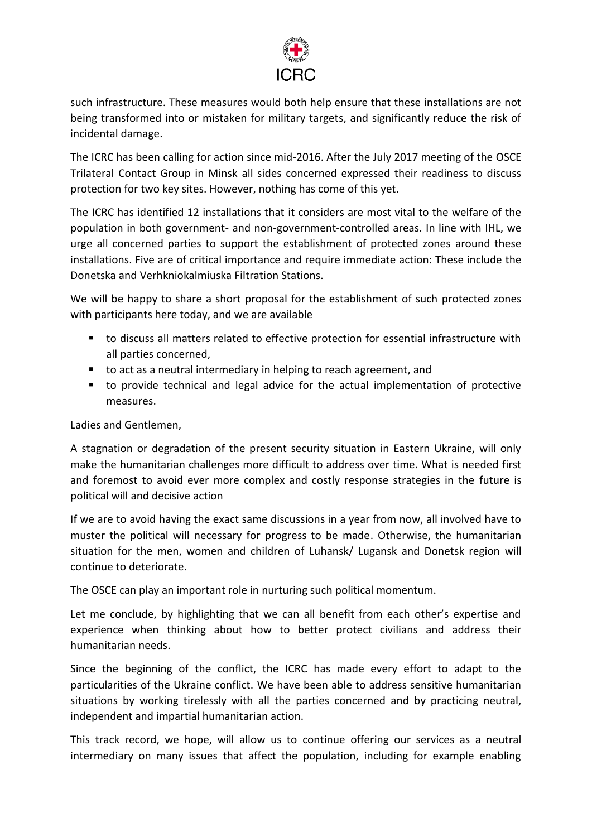

such infrastructure. These measures would both help ensure that these installations are not being transformed into or mistaken for military targets, and significantly reduce the risk of incidental damage.

The ICRC has been calling for action since mid-2016. After the July 2017 meeting of the OSCE Trilateral Contact Group in Minsk all sides concerned expressed their readiness to discuss protection for two key sites. However, nothing has come of this yet.

The ICRC has identified 12 installations that it considers are most vital to the welfare of the population in both government- and non-government-controlled areas. In line with IHL, we urge all concerned parties to support the establishment of protected zones around these installations. Five are of critical importance and require immediate action: These include the Donetska and Verhkniokalmiuska Filtration Stations.

We will be happy to share a short proposal for the establishment of such protected zones with participants here today, and we are available

- to discuss all matters related to effective protection for essential infrastructure with all parties concerned,
- to act as a neutral intermediary in helping to reach agreement, and
- to provide technical and legal advice for the actual implementation of protective measures.

Ladies and Gentlemen,

A stagnation or degradation of the present security situation in Eastern Ukraine, will only make the humanitarian challenges more difficult to address over time. What is needed first and foremost to avoid ever more complex and costly response strategies in the future is political will and decisive action

If we are to avoid having the exact same discussions in a year from now, all involved have to muster the political will necessary for progress to be made. Otherwise, the humanitarian situation for the men, women and children of Luhansk/ Lugansk and Donetsk region will continue to deteriorate.

The OSCE can play an important role in nurturing such political momentum.

Let me conclude, by highlighting that we can all benefit from each other's expertise and experience when thinking about how to better protect civilians and address their humanitarian needs.

Since the beginning of the conflict, the ICRC has made every effort to adapt to the particularities of the Ukraine conflict. We have been able to address sensitive humanitarian situations by working tirelessly with all the parties concerned and by practicing neutral, independent and impartial humanitarian action.

This track record, we hope, will allow us to continue offering our services as a neutral intermediary on many issues that affect the population, including for example enabling